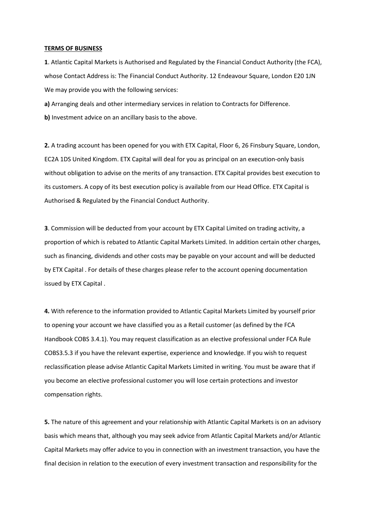## TERMS OF BUSINESS

1. Atlantic Capital Markets is Authorised and Regulated by the Financial Conduct Authority (the FCA), whose Contact Address is: The Financial Conduct Authority. 12 Endeavour Square, London E20 1JN We may provide you with the following services:

a) Arranging deals and other intermediary services in relation to Contracts for Difference. b) Investment advice on an ancillary basis to the above.

2. A trading account has been opened for you with ETX Capital, Floor 6, 26 Finsbury Square, London, EC2A 1DS United Kingdom. ETX Capital will deal for you as principal on an execution-only basis without obligation to advise on the merits of any transaction. ETX Capital provides best execution to its customers. A copy of its best execution policy is available from our Head Office. ETX Capital is Authorised & Regulated by the Financial Conduct Authority.

3. Commission will be deducted from your account by ETX Capital Limited on trading activity, a proportion of which is rebated to Atlantic Capital Markets Limited. In addition certain other charges, such as financing, dividends and other costs may be payable on your account and will be deducted by ETX Capital . For details of these charges please refer to the account opening documentation issued by ETX Capital .

4. With reference to the information provided to Atlantic Capital Markets Limited by yourself prior to opening your account we have classified you as a Retail customer (as defined by the FCA Handbook COBS 3.4.1). You may request classification as an elective professional under FCA Rule COBS3.5.3 if you have the relevant expertise, experience and knowledge. If you wish to request reclassification please advise Atlantic Capital Markets Limited in writing. You must be aware that if you become an elective professional customer you will lose certain protections and investor compensation rights.

5. The nature of this agreement and your relationship with Atlantic Capital Markets is on an advisory basis which means that, although you may seek advice from Atlantic Capital Markets and/or Atlantic Capital Markets may offer advice to you in connection with an investment transaction, you have the final decision in relation to the execution of every investment transaction and responsibility for the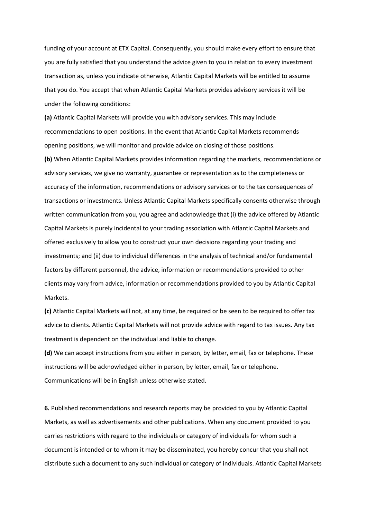funding of your account at ETX Capital. Consequently, you should make every effort to ensure that you are fully satisfied that you understand the advice given to you in relation to every investment transaction as, unless you indicate otherwise, Atlantic Capital Markets will be entitled to assume that you do. You accept that when Atlantic Capital Markets provides advisory services it will be under the following conditions:

(a) Atlantic Capital Markets will provide you with advisory services. This may include recommendations to open positions. In the event that Atlantic Capital Markets recommends opening positions, we will monitor and provide advice on closing of those positions.

(b) When Atlantic Capital Markets provides information regarding the markets, recommendations or advisory services, we give no warranty, guarantee or representation as to the completeness or accuracy of the information, recommendations or advisory services or to the tax consequences of transactions or investments. Unless Atlantic Capital Markets specifically consents otherwise through written communication from you, you agree and acknowledge that (i) the advice offered by Atlantic Capital Markets is purely incidental to your trading association with Atlantic Capital Markets and offered exclusively to allow you to construct your own decisions regarding your trading and investments; and (ii) due to individual differences in the analysis of technical and/or fundamental factors by different personnel, the advice, information or recommendations provided to other clients may vary from advice, information or recommendations provided to you by Atlantic Capital Markets.

(c) Atlantic Capital Markets will not, at any time, be required or be seen to be required to offer tax advice to clients. Atlantic Capital Markets will not provide advice with regard to tax issues. Any tax treatment is dependent on the individual and liable to change.

(d) We can accept instructions from you either in person, by letter, email, fax or telephone. These instructions will be acknowledged either in person, by letter, email, fax or telephone. Communications will be in English unless otherwise stated.

6. Published recommendations and research reports may be provided to you by Atlantic Capital Markets, as well as advertisements and other publications. When any document provided to you carries restrictions with regard to the individuals or category of individuals for whom such a document is intended or to whom it may be disseminated, you hereby concur that you shall not distribute such a document to any such individual or category of individuals. Atlantic Capital Markets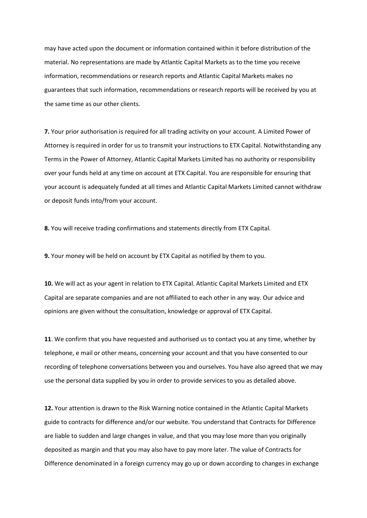may have acted upon the document or information contained within it before distribution of the material. No representations are made by Atlantic Capital Markets as to the time you receive information, recommendations or research reports and Atlantic Capital Markets makes no guarantees that such information, recommendations or research reports will be received by you at the same time as our other clients.

7. Your prior authorisation is required for all trading activity on your account. A Limited Power of Attorney is required in order for us to transmit your instructions to ETX Capital. Notwithstanding any Terms in the Power of Attorney, Atlantic Capital Markets Limited has no authority or responsibility over your funds held at any time on account at ETX Capital. You are responsible for ensuring that your account is adequately funded at all times and Atlantic Capital Markets Limited cannot withdraw or deposit funds into/from your account.

8. You will receive trading confirmations and statements directly from ETX Capital.

9. Your money will be held on account by ETX Capital as notified by them to you.

10. We will act as your agent in relation to ETX Capital. Atlantic Capital Markets Limited and ETX Capital are separate companies and are not affiliated to each other in any way. Our advice and opinions are given without the consultation, knowledge or approval of ETX Capital.

11. We confirm that you have requested and authorised us to contact you at any time, whether by telephone, e mail or other means, concerning your account and that you have consented to our recording of telephone conversations between you and ourselves. You have also agreed that we may use the personal data supplied by you in order to provide services to you as detailed above.

12. Your attention is drawn to the Risk Warning notice contained in the Atlantic Capital Markets guide to contracts for difference and/or our website. You understand that Contracts for Difference are liable to sudden and large changes in value, and that you may lose more than you originally deposited as margin and that you may also have to pay more later. The value of Contracts for Difference denominated in a foreign currency may go up or down according to changes in exchange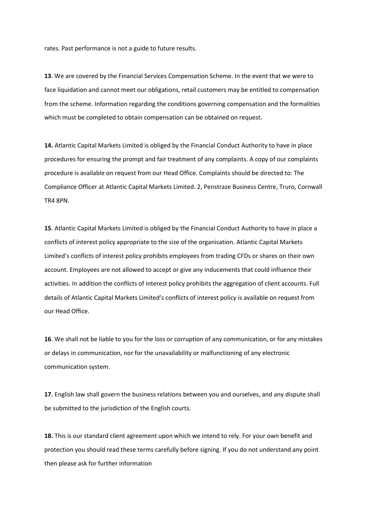rates. Past performance is not a guide to future results.

13. We are covered by the Financial Services Compensation Scheme. In the event that we were to face liquidation and cannot meet our obligations, retail customers may be entitled to compensation from the scheme. Information regarding the conditions governing compensation and the formalities which must be completed to obtain compensation can be obtained on request.

14. Atlantic Capital Markets Limited is obliged by the Financial Conduct Authority to have in place procedures for ensuring the prompt and fair treatment of any complaints. A copy of our complaints procedure is available on request from our Head Office. Complaints should be directed to: The Compliance Officer at Atlantic Capital Markets Limited. 2, Penstraze Business Centre, Truro, Cornwall TR4 8PN.

15. Atlantic Capital Markets Limited is obliged by the Financial Conduct Authority to have in place a conflicts of interest policy appropriate to the size of the organisation. Atlantic Capital Markets Limited's conflicts of interest policy prohibits employees from trading CFDs or shares on their own account. Employees are not allowed to accept or give any inducements that could influence their activities. In addition the conflicts of interest policy prohibits the aggregation of client accounts. Full details of Atlantic Capital Markets Limited's conflicts of interest policy is available on request from our Head Office.

16. We shall not be liable to you for the loss or corruption of any communication, or for any mistakes or delays in communication, nor for the unavailability or malfunctioning of any electronic communication system.

17. English law shall govern the business relations between you and ourselves, and any dispute shall be submitted to the jurisdiction of the English courts.

18. This is our standard client agreement upon which we intend to rely. For your own benefit and protection you should read these terms carefully before signing. If you do not understand any point then please ask for further information